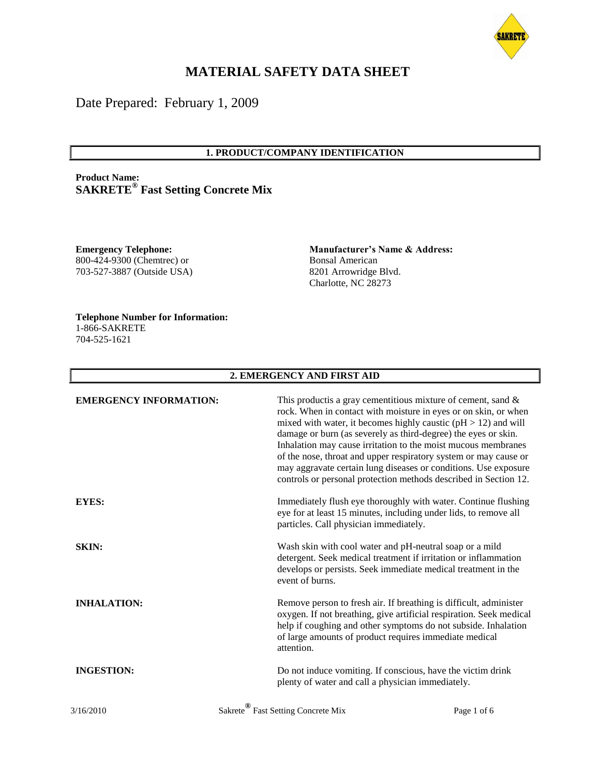

# **MATERIAL SAFETY DATA SHEET**

Date Prepared: February 1, 2009

#### **1. PRODUCT/COMPANY IDENTIFICATION**

**Product Name: SAKRETE® Fast Setting Concrete Mix**

**Emergency Telephone:** 800-424-9300 (Chemtrec) or 703-527-3887 (Outside USA)

**Manufacturer's Name & Address:** Bonsal American 8201 Arrowridge Blvd. Charlotte, NC 28273

**Telephone Number for Information:** 1-866-SAKRETE 704-525-1621

#### **2. EMERGENCY AND FIRST AID**

| <b>EMERGENCY INFORMATION:</b> | damage or burn (as severely as third-degree) the eyes or skin.                                                                              | This product is a gray cementitious mixture of cement, sand $\&$<br>rock. When in contact with moisture in eyes or on skin, or when<br>mixed with water, it becomes highly caustic $(pH > 12)$ and will<br>Inhalation may cause irritation to the moist mucous membranes<br>of the nose, throat and upper respiratory system or may cause or<br>may aggravate certain lung diseases or conditions. Use exposure<br>controls or personal protection methods described in Section 12. |
|-------------------------------|---------------------------------------------------------------------------------------------------------------------------------------------|-------------------------------------------------------------------------------------------------------------------------------------------------------------------------------------------------------------------------------------------------------------------------------------------------------------------------------------------------------------------------------------------------------------------------------------------------------------------------------------|
| EYES:                         | particles. Call physician immediately.                                                                                                      | Immediately flush eye thoroughly with water. Continue flushing<br>eye for at least 15 minutes, including under lids, to remove all                                                                                                                                                                                                                                                                                                                                                  |
| <b>SKIN:</b>                  | Wash skin with cool water and pH-neutral soap or a mild<br>develops or persists. Seek immediate medical treatment in the<br>event of burns. | detergent. Seek medical treatment if irritation or inflammation                                                                                                                                                                                                                                                                                                                                                                                                                     |
| <b>INHALATION:</b>            | of large amounts of product requires immediate medical<br>attention.                                                                        | Remove person to fresh air. If breathing is difficult, administer<br>oxygen. If not breathing, give artificial respiration. Seek medical<br>help if coughing and other symptoms do not subside. Inhalation                                                                                                                                                                                                                                                                          |
| <b>INGESTION:</b>             | Do not induce vomiting. If conscious, have the victim drink<br>plenty of water and call a physician immediately.                            |                                                                                                                                                                                                                                                                                                                                                                                                                                                                                     |
| 3/16/2010                     | Sakrete <sup>®</sup> Fast Setting Concrete Mix                                                                                              | Page 1 of 6                                                                                                                                                                                                                                                                                                                                                                                                                                                                         |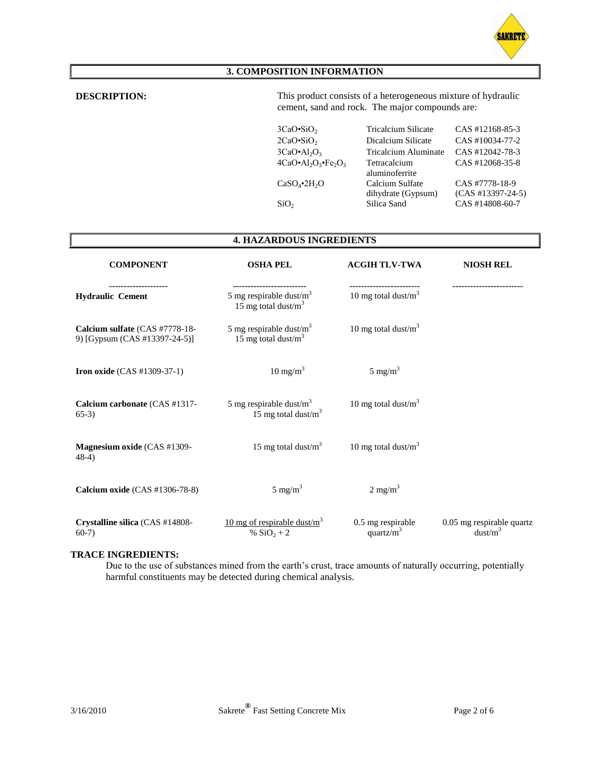

## **3. COMPOSITION INFORMATION**

**DESCRIPTION:** This product consists of a heterogeneous mixture of hydraulic cement, sand and rock. The major compounds are:

| $3CaO-SiO2$                        | <b>Tricalcium Silicate</b>            | CAS #12168-85-3                       |
|------------------------------------|---------------------------------------|---------------------------------------|
| $2CaO-SiO2$                        | Dicalcium Silicate                    | CAS #10034-77-2                       |
| $3CaO•Al2O3$                       | Tricalcium Aluminate                  | CAS #12042-78-3                       |
| $4CaO \cdot Al_2O_3 \cdot Fe_2O_3$ | Tetracalcium<br>aluminoferrite        | CAS #12068-35-8                       |
| $CaSO_4$ •2H <sub>2</sub> O        | Calcium Sulfate<br>dihydrate (Gypsum) | CAS #7778-18-9<br>$(CAS #13397-24-5)$ |
| SiO <sub>2</sub>                   | Silica Sand                           | CAS #14808-60-7                       |

### **4. HAZARDOUS INGREDIENTS**

| <b>COMPONENT</b>                                                | <b>OSHA PEL</b>                                      | <b>ACGIH TLV-TWA</b>               | <b>NIOSH REL</b>                                 |
|-----------------------------------------------------------------|------------------------------------------------------|------------------------------------|--------------------------------------------------|
| <b>Hydraulic Cement</b>                                         | 5 mg respirable dust/ $m3$<br>15 mg total dust/ $m3$ | 10 mg total dust/ $m3$             |                                                  |
| Calcium sulfate (CAS #7778-18-<br>9) [Gypsum (CAS #13397-24-5)] | 5 mg respirable dust/ $m3$<br>15 mg total dust/ $m3$ | 10 mg total dust/ $m3$             |                                                  |
| <b>Iron oxide</b> $(CAS #1309-37-1)$                            | $10 \text{ mg/m}^3$                                  | $5 \text{ mg/m}^3$                 |                                                  |
| Calcium carbonate (CAS #1317-<br>$65-3)$                        | 5 mg respirable dust/ $m3$<br>15 mg total dust/ $m3$ | 10 mg total dust/ $m3$             |                                                  |
| Magnesium oxide (CAS #1309-<br>$(48-4)$                         | 15 mg total dust/ $m3$                               | 10 mg total dust/ $m3$             |                                                  |
| Calcium oxide (CAS #1306-78-8)                                  | $5 \text{ mg/m}^3$                                   | $2 \text{ mg/m}^3$                 |                                                  |
| Crystalline silica (CAS #14808-<br>$60-7)$                      | 10 mg of respirable dust/ $m3$<br>% $SiO_2 + 2$      | 0.5 mg respirable<br>quartz/ $m^3$ | 0.05 mg respirable quartz<br>dust/m <sup>3</sup> |

#### **TRACE INGREDIENTS:**

Due to the use of substances mined from the earth's crust, trace amounts of naturally occurring, potentially harmful constituents may be detected during chemical analysis.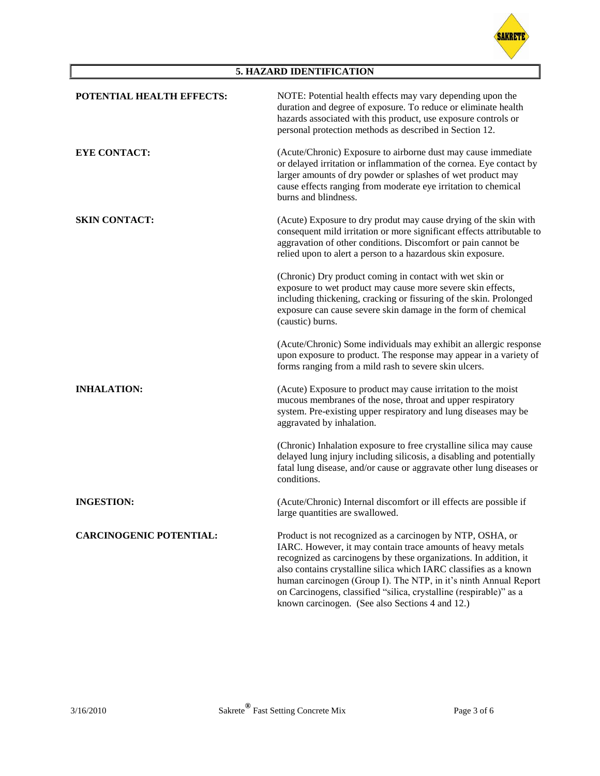

## **5. HAZARD IDENTIFICATION**

| POTENTIAL HEALTH EFFECTS:      | NOTE: Potential health effects may vary depending upon the<br>duration and degree of exposure. To reduce or eliminate health<br>hazards associated with this product, use exposure controls or<br>personal protection methods as described in Section 12.                                                                                                                                                                                                        |
|--------------------------------|------------------------------------------------------------------------------------------------------------------------------------------------------------------------------------------------------------------------------------------------------------------------------------------------------------------------------------------------------------------------------------------------------------------------------------------------------------------|
| <b>EYE CONTACT:</b>            | (Acute/Chronic) Exposure to airborne dust may cause immediate<br>or delayed irritation or inflammation of the cornea. Eye contact by<br>larger amounts of dry powder or splashes of wet product may<br>cause effects ranging from moderate eye irritation to chemical<br>burns and blindness.                                                                                                                                                                    |
| <b>SKIN CONTACT:</b>           | (Acute) Exposure to dry produt may cause drying of the skin with<br>consequent mild irritation or more significant effects attributable to<br>aggravation of other conditions. Discomfort or pain cannot be<br>relied upon to alert a person to a hazardous skin exposure.                                                                                                                                                                                       |
|                                | (Chronic) Dry product coming in contact with wet skin or<br>exposure to wet product may cause more severe skin effects,<br>including thickening, cracking or fissuring of the skin. Prolonged<br>exposure can cause severe skin damage in the form of chemical<br>(caustic) burns.                                                                                                                                                                               |
|                                | (Acute/Chronic) Some individuals may exhibit an allergic response<br>upon exposure to product. The response may appear in a variety of<br>forms ranging from a mild rash to severe skin ulcers.                                                                                                                                                                                                                                                                  |
| <b>INHALATION:</b>             | (Acute) Exposure to product may cause irritation to the moist<br>mucous membranes of the nose, throat and upper respiratory<br>system. Pre-existing upper respiratory and lung diseases may be<br>aggravated by inhalation.                                                                                                                                                                                                                                      |
|                                | (Chronic) Inhalation exposure to free crystalline silica may cause<br>delayed lung injury including silicosis, a disabling and potentially<br>fatal lung disease, and/or cause or aggravate other lung diseases or<br>conditions.                                                                                                                                                                                                                                |
| <b>INGESTION:</b>              | (Acute/Chronic) Internal discomfort or ill effects are possible if<br>large quantities are swallowed.                                                                                                                                                                                                                                                                                                                                                            |
| <b>CARCINOGENIC POTENTIAL:</b> | Product is not recognized as a carcinogen by NTP, OSHA, or<br>IARC. However, it may contain trace amounts of heavy metals<br>recognized as carcinogens by these organizations. In addition, it<br>also contains crystalline silica which IARC classifies as a known<br>human carcinogen (Group I). The NTP, in it's ninth Annual Report<br>on Carcinogens, classified "silica, crystalline (respirable)" as a<br>known carcinogen. (See also Sections 4 and 12.) |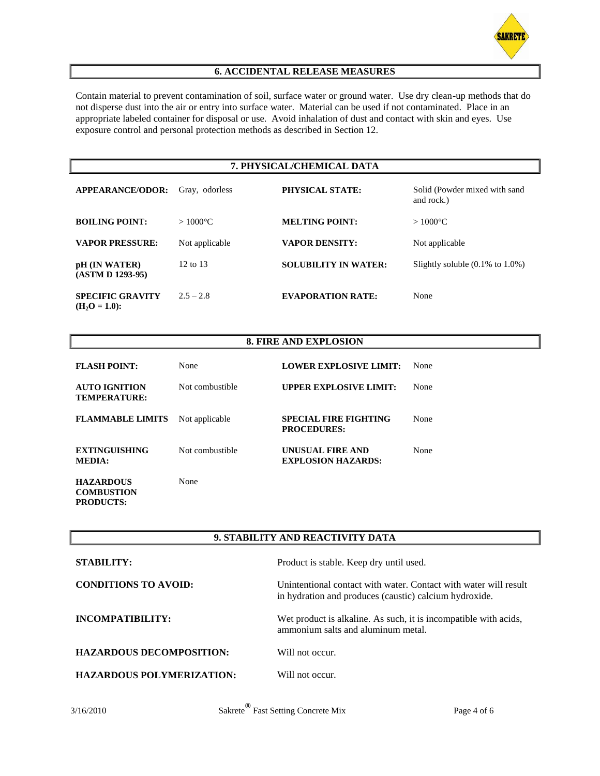

### **6. ACCIDENTAL RELEASE MEASURES**

Contain material to prevent contamination of soil, surface water or ground water. Use dry clean-up methods that do not disperse dust into the air or entry into surface water. Material can be used if not contaminated. Place in an appropriate labeled container for disposal or use. Avoid inhalation of dust and contact with skin and eyes. Use exposure control and personal protection methods as described in Section 12.

#### **7. PHYSICAL/CHEMICAL DATA**

| <b>APPEARANCE/ODOR:</b>                   | Gray, odorless    | <b>PHYSICAL STATE:</b>      | Solid (Powder mixed with sand<br>and rock.)  |
|-------------------------------------------|-------------------|-----------------------------|----------------------------------------------|
| <b>BOILING POINT:</b>                     | $>1000^{\circ}$ C | <b>MELTING POINT:</b>       | $>1000^{\circ}$ C                            |
| <b>VAPOR PRESSURE:</b>                    | Not applicable    | <b>VAPOR DENSITY:</b>       | Not applicable                               |
| pH (IN WATER)<br>(ASTM D 1293-95)         | 12 to 13          | <b>SOLUBILITY IN WATER:</b> | Slightly soluble $(0.1\% \text{ to } 1.0\%)$ |
| <b>SPECIFIC GRAVITY</b><br>$(H2O = 1.0):$ | $2.5 - 2.8$       | <b>EVAPORATION RATE:</b>    | None                                         |

#### **8. FIRE AND EXPLOSION**

| <b>FLASH POINT:</b>                         | None             | <b>LOWER EXPLOSIVE LIMIT:</b>                      | None |
|---------------------------------------------|------------------|----------------------------------------------------|------|
| <b>AUTO IGNITION</b><br><b>TEMPERATURE:</b> | Not combustible. | <b>UPPER EXPLOSIVE LIMIT:</b>                      | None |
| <b>FLAMMABLE LIMITS</b>                     | Not applicable   | <b>SPECIAL FIRE FIGHTING</b><br><b>PROCEDURES:</b> | None |
| <b>EXTINGUISHING</b><br><b>MEDIA:</b>       | Not combustible. | UNUSUAL FIRE AND<br><b>EXPLOSION HAZARDS:</b>      | None |
| <b>HAZARDOUS</b><br><b>COMBUSTION</b>       | None             |                                                    |      |

#### **9. STABILITY AND REACTIVITY DATA**

| <b>STABILITY:</b>                | Product is stable. Keep dry until used.                                                                                    |
|----------------------------------|----------------------------------------------------------------------------------------------------------------------------|
| <b>CONDITIONS TO AVOID:</b>      | Unintentional contact with water. Contact with water will result<br>in hydration and produces (caustic) calcium hydroxide. |
| INCOMPATIBILITY:                 | Wet product is alkaline. As such, it is incompatible with acids,<br>ammonium salts and aluminum metal.                     |
| <b>HAZARDOUS DECOMPOSITION:</b>  | Will not occur.                                                                                                            |
| <b>HAZARDOUS POLYMERIZATION:</b> | Will not occur.                                                                                                            |

**PRODUCTS:**

3/16/2010 Sakrete**®** Fast Setting Concrete Mix Page 4 of 6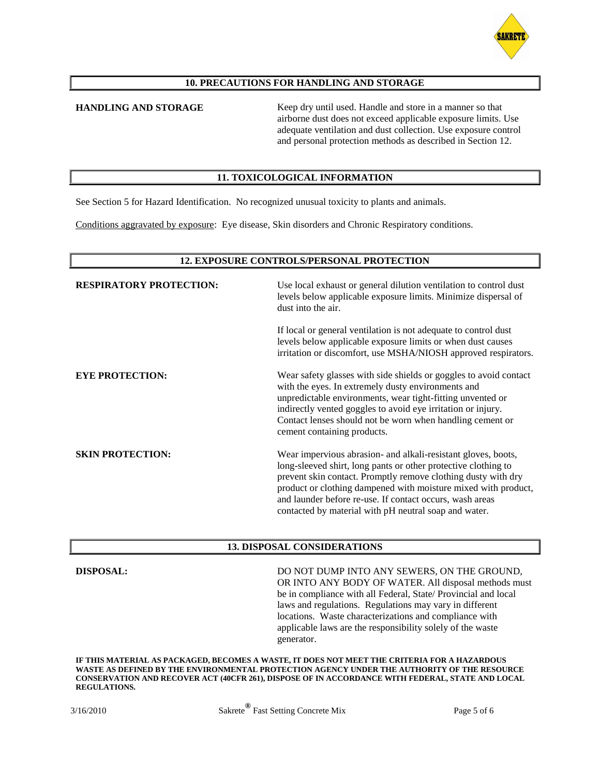

#### **10. PRECAUTIONS FOR HANDLING AND STORAGE**

**HANDLING AND STORAGE** Keep dry until used. Handle and store in a manner so that airborne dust does not exceed applicable exposure limits. Use adequate ventilation and dust collection. Use exposure control and personal protection methods as described in Section 12.

#### **11. TOXICOLOGICAL INFORMATION**

See Section 5 for Hazard Identification. No recognized unusual toxicity to plants and animals.

Conditions aggravated by exposure: Eye disease, Skin disorders and Chronic Respiratory conditions.

#### **12. EXPOSURE CONTROLS/PERSONAL PROTECTION**

| <b>RESPIRATORY PROTECTION:</b> | Use local exhaust or general dilution ventilation to control dust<br>levels below applicable exposure limits. Minimize dispersal of<br>dust into the air.                                                                                                                                                                                                                               |
|--------------------------------|-----------------------------------------------------------------------------------------------------------------------------------------------------------------------------------------------------------------------------------------------------------------------------------------------------------------------------------------------------------------------------------------|
|                                | If local or general ventilation is not adequate to control dust<br>levels below applicable exposure limits or when dust causes<br>irritation or discomfort, use MSHA/NIOSH approved respirators.                                                                                                                                                                                        |
| <b>EYE PROTECTION:</b>         | Wear safety glasses with side shields or goggles to avoid contact<br>with the eyes. In extremely dusty environments and<br>unpredictable environments, wear tight-fitting unvented or<br>indirectly vented goggles to avoid eye irritation or injury.<br>Contact lenses should not be worn when handling cement or<br>cement containing products.                                       |
| <b>SKIN PROTECTION:</b>        | Wear impervious abrasion- and alkali-resistant gloves, boots,<br>long-sleeved shirt, long pants or other protective clothing to<br>prevent skin contact. Promptly remove clothing dusty with dry<br>product or clothing dampened with moisture mixed with product,<br>and launder before re-use. If contact occurs, wash areas<br>contacted by material with pH neutral soap and water. |

#### **13. DISPOSAL CONSIDERATIONS**

**DISPOSAL:** DO NOT DUMP INTO ANY SEWERS, ON THE GROUND, OR INTO ANY BODY OF WATER. All disposal methods must be in compliance with all Federal, State/ Provincial and local laws and regulations. Regulations may vary in different locations. Waste characterizations and compliance with applicable laws are the responsibility solely of the waste generator.

**IF THIS MATERIAL AS PACKAGED, BECOMES A WASTE, IT DOES NOT MEET THE CRITERIA FOR A HAZARDOUS WASTE AS DEFINED BY THE ENVIRONMENTAL PROTECTION AGENCY UNDER THE AUTHORITY OF THE RESOURCE CONSERVATION AND RECOVER ACT (40CFR 261), DISPOSE OF IN ACCORDANCE WITH FEDERAL, STATE AND LOCAL REGULATIONS.**